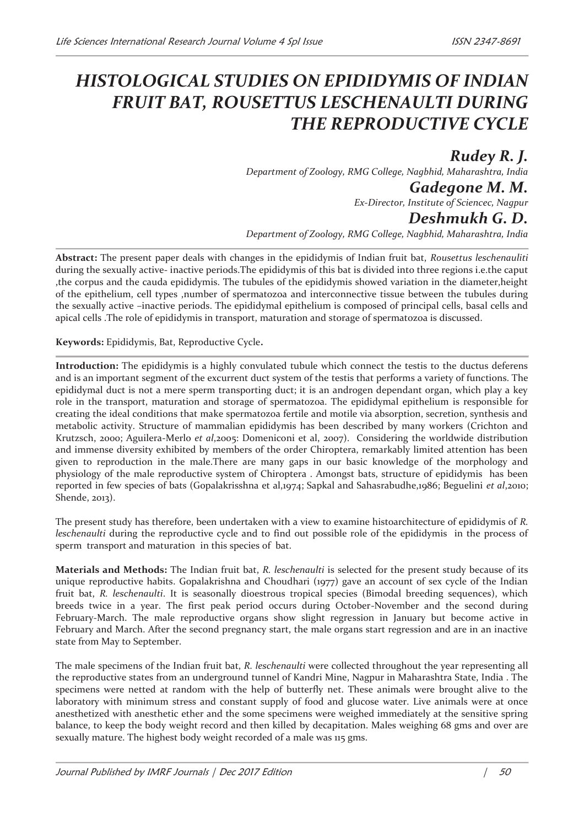## *HISTOLOGICAL STUDIES ON EPIDIDYMIS OF INDIAN FRUIT BAT, ROUSETTUS LESCHENAULTI DURING THE REPRODUCTIVE CYCLE*

*Rudey R. J.* 

*Department of Zoology, RMG College, Nagbhid, Maharashtra, India Gadegone M. M. Ex-Director, Institute of Sciencec, Nagpur Deshmukh G. D. Department of Zoology, RMG College, Nagbhid, Maharashtra, India* 

**Abstract:** The present paper deals with changes in the epididymis of Indian fruit bat, *Rousettus leschenauliti* during the sexually active- inactive periods.The epididymis of this bat is divided into three regions i.e.the caput ,the corpus and the cauda epididymis. The tubules of the epididymis showed variation in the diameter,height of the epithelium, cell types ,number of spermatozoa and interconnective tissue between the tubules during the sexually active –inactive periods. The epididymal epithelium is composed of principal cells, basal cells and apical cells .The role of epididymis in transport, maturation and storage of spermatozoa is discussed.

**Keywords:** Epididymis, Bat, Reproductive Cycle**.** 

**Introduction:** The epididymis is a highly convulated tubule which connect the testis to the ductus deferens and is an important segment of the excurrent duct system of the testis that performs a variety of functions. The epididymal duct is not a mere sperm transporting duct; it is an androgen dependant organ, which play a key role in the transport, maturation and storage of spermatozoa. The epididymal epithelium is responsible for creating the ideal conditions that make spermatozoa fertile and motile via absorption, secretion, synthesis and metabolic activity. Structure of mammalian epididymis has been described by many workers (Crichton and Krutzsch, 2000; Aguilera-Merlo *et al*,2005: Domeniconi et al, 2007). Considering the worldwide distribution and immense diversity exhibited by members of the order Chiroptera, remarkably limited attention has been given to reproduction in the male.There are many gaps in our basic knowledge of the morphology and physiology of the male reproductive system of Chiroptera . Amongst bats, structure of epididymis has been reported in few species of bats (Gopalakrisshna et al,1974; Sapkal and Sahasrabudhe,1986; Beguelini *et al*,2010; Shende, 2013).

The present study has therefore, been undertaken with a view to examine histoarchitecture of epididymis of *R. leschenaulti* during the reproductive cycle and to find out possible role of the epididymis in the process of sperm transport and maturation in this species of bat.

**Materials and Methods:** The Indian fruit bat, *R. leschenaulti* is selected for the present study because of its unique reproductive habits. Gopalakrishna and Choudhari (1977) gave an account of sex cycle of the Indian fruit bat, *R. leschenaulti*. It is seasonally dioestrous tropical species (Bimodal breeding sequences), which breeds twice in a year. The first peak period occurs during October-November and the second during February-March. The male reproductive organs show slight regression in January but become active in February and March. After the second pregnancy start, the male organs start regression and are in an inactive state from May to September.

The male specimens of the Indian fruit bat, *R. leschenaulti* were collected throughout the year representing all the reproductive states from an underground tunnel of Kandri Mine, Nagpur in Maharashtra State, India . The specimens were netted at random with the help of butterfly net. These animals were brought alive to the laboratory with minimum stress and constant supply of food and glucose water. Live animals were at once anesthetized with anesthetic ether and the some specimens were weighed immediately at the sensitive spring balance, to keep the body weight record and then killed by decapitation. Males weighing 68 gms and over are sexually mature. The highest body weight recorded of a male was 115 gms.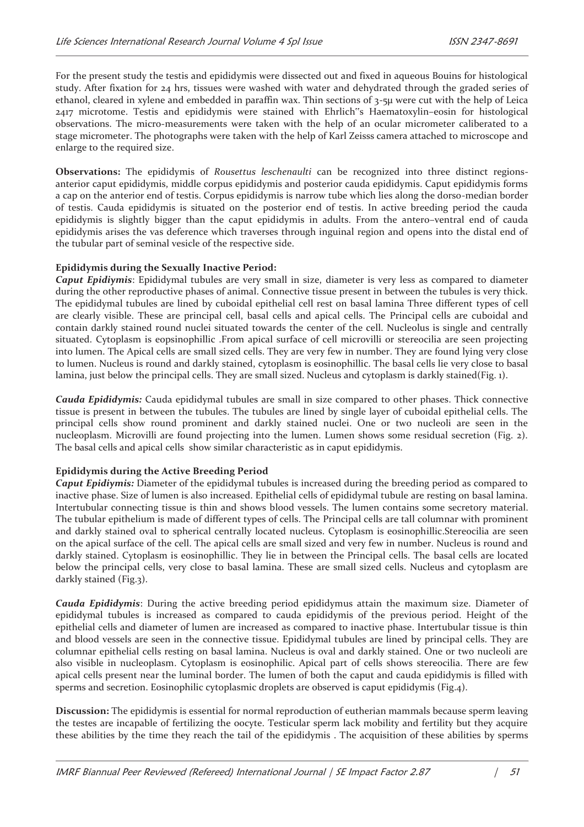For the present study the testis and epididymis were dissected out and fixed in aqueous Bouins for histological study. After fixation for 24 hrs, tissues were washed with water and dehydrated through the graded series of ethanol, cleared in xylene and embedded in paraffin wax. Thin sections of 3-5μ were cut with the help of Leica 2417 microtome. Testis and epididymis were stained with Ehrlich"s Haematoxylin–eosin for histological observations. The micro-measurements were taken with the help of an ocular micrometer caliberated to a stage micrometer. The photographs were taken with the help of Karl Zeisss camera attached to microscope and enlarge to the required size.

**Observations:** The epididymis of *Rousettus leschenaulti* can be recognized into three distinct regionsanterior caput epididymis, middle corpus epididymis and posterior cauda epididymis. Caput epididymis forms a cap on the anterior end of testis. Corpus epididymis is narrow tube which lies along the dorso-median border of testis. Cauda epididymis is situated on the posterior end of testis. In active breeding period the cauda epididymis is slightly bigger than the caput epididymis in adults. From the antero–ventral end of cauda epididymis arises the vas deference which traverses through inguinal region and opens into the distal end of the tubular part of seminal vesicle of the respective side.

## **Epididymis during the Sexually Inactive Period:**

*Caput Epidiymis*: Epididymal tubules are very small in size, diameter is very less as compared to diameter during the other reproductive phases of animal. Connective tissue present in between the tubules is very thick. The epididymal tubules are lined by cuboidal epithelial cell rest on basal lamina Three different types of cell are clearly visible. These are principal cell, basal cells and apical cells. The Principal cells are cuboidal and contain darkly stained round nuclei situated towards the center of the cell. Nucleolus is single and centrally situated. Cytoplasm is eopsinophillic .From apical surface of cell microvilli or stereocilia are seen projecting into lumen. The Apical cells are small sized cells. They are very few in number. They are found lying very close to lumen. Nucleus is round and darkly stained, cytoplasm is eosinophillic. The basal cells lie very close to basal lamina, just below the principal cells. They are small sized. Nucleus and cytoplasm is darkly stained(Fig. 1).

*Cauda Epididymis:* Cauda epididymal tubules are small in size compared to other phases. Thick connective tissue is present in between the tubules. The tubules are lined by single layer of cuboidal epithelial cells. The principal cells show round prominent and darkly stained nuclei. One or two nucleoli are seen in the nucleoplasm. Microvilli are found projecting into the lumen. Lumen shows some residual secretion (Fig. 2). The basal cells and apical cells show similar characteristic as in caput epididymis.

## **Epididymis during the Active Breeding Period**

*Caput Epidiymis:* Diameter of the epididymal tubules is increased during the breeding period as compared to inactive phase. Size of lumen is also increased. Epithelial cells of epididymal tubule are resting on basal lamina. Intertubular connecting tissue is thin and shows blood vessels. The lumen contains some secretory material. The tubular epithelium is made of different types of cells. The Principal cells are tall columnar with prominent and darkly stained oval to spherical centrally located nucleus. Cytoplasm is eosinophillic.Stereocilia are seen on the apical surface of the cell. The apical cells are small sized and very few in number. Nucleus is round and darkly stained. Cytoplasm is eosinophillic. They lie in between the Principal cells. The basal cells are located below the principal cells, very close to basal lamina. These are small sized cells. Nucleus and cytoplasm are darkly stained (Fig.3).

*Cauda Epididymis*: During the active breeding period epididymus attain the maximum size. Diameter of epididymal tubules is increased as compared to cauda epididymis of the previous period. Height of the epithelial cells and diameter of lumen are increased as compared to inactive phase. Intertubular tissue is thin and blood vessels are seen in the connective tissue. Epididymal tubules are lined by principal cells. They are columnar epithelial cells resting on basal lamina. Nucleus is oval and darkly stained. One or two nucleoli are also visible in nucleoplasm. Cytoplasm is eosinophilic. Apical part of cells shows stereocilia. There are few apical cells present near the luminal border. The lumen of both the caput and cauda epididymis is filled with sperms and secretion. Eosinophilic cytoplasmic droplets are observed is caput epididymis (Fig.4).

**Discussion:** The epididymis is essential for normal reproduction of eutherian mammals because sperm leaving the testes are incapable of fertilizing the oocyte. Testicular sperm lack mobility and fertility but they acquire these abilities by the time they reach the tail of the epididymis . The acquisition of these abilities by sperms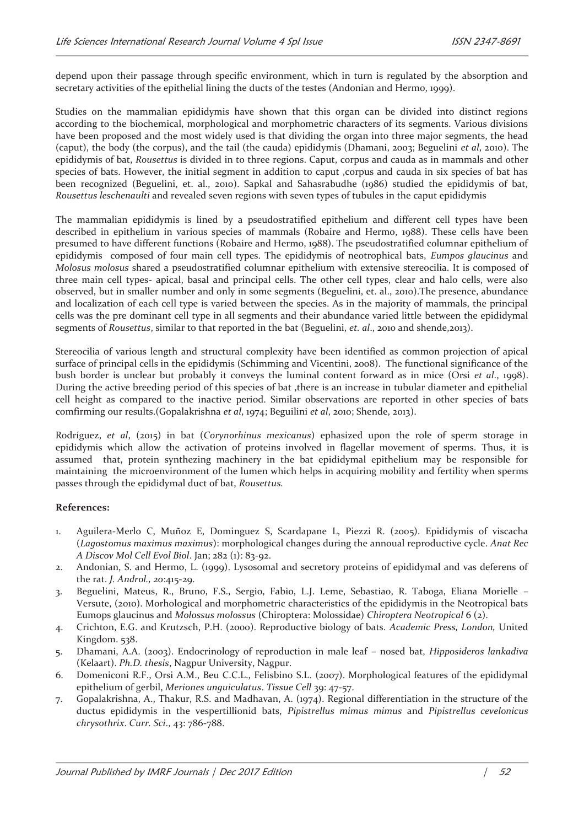depend upon their passage through specific environment, which in turn is regulated by the absorption and secretary activities of the epithelial lining the ducts of the testes (Andonian and Hermo, 1999).

Studies on the mammalian epididymis have shown that this organ can be divided into distinct regions according to the biochemical, morphological and morphometric characters of its segments. Various divisions have been proposed and the most widely used is that dividing the organ into three major segments, the head (caput), the body (the corpus), and the tail (the cauda) epididymis (Dhamani, 2003; Beguelini *et al*, 2010). The epididymis of bat, *Rousettus* is divided in to three regions. Caput, corpus and cauda as in mammals and other species of bats. However, the initial segment in addition to caput ,corpus and cauda in six species of bat has been recognized (Beguelini, et. al., 2010). Sapkal and Sahasrabudhe (1986) studied the epididymis of bat, *Rousettus leschenaulti* and revealed seven regions with seven types of tubules in the caput epididymis

The mammalian epididymis is lined by a pseudostratified epithelium and different cell types have been described in epithelium in various species of mammals (Robaire and Hermo, 1988). These cells have been presumed to have different functions (Robaire and Hermo, 1988). The pseudostratified columnar epithelium of epididymis composed of four main cell types. The epididymis of neotrophical bats, *Eumpos glaucinus* and *Molosus molosus* shared a pseudostratified columnar epithelium with extensive stereocilia. It is composed of three main cell types- apical, basal and principal cells. The other cell types, clear and halo cells, were also observed, but in smaller number and only in some segments (Beguelini, et. al., 2010).The presence, abundance and localization of each cell type is varied between the species. As in the majority of mammals, the principal cells was the pre dominant cell type in all segments and their abundance varied little between the epididymal segments of *Rousettus*, similar to that reported in the bat (Beguelini, *et. al*., 2010 and shende,2013).

Stereocilia of various length and structural complexity have been identified as common projection of apical surface of principal cells in the epididymis (Schimming and Vicentini, 2008). The functional significance of the bush border is unclear but probably it conveys the luminal content forward as in mice (Orsi *et al*., 1998). During the active breeding period of this species of bat ,there is an increase in tubular diameter and epithelial cell height as compared to the inactive period. Similar observations are reported in other species of bats comfirming our results.(Gopalakrishna *et al*, 1974; Beguilini *et al*, 2010; Shende, 2013).

Rodríguez, *et al*, (2015) in bat (*Corynorhinus mexicanus*) ephasized upon the role of sperm storage in epididymis which allow the activation of proteins involved in flagellar movement of sperms. Thus, it is assumed that, protein synthezing machinery in the bat epididymal epithelium may be responsible for maintaining the microenvironment of the lumen which helps in acquiring mobility and fertility when sperms passes through the epididymal duct of bat, *Rousettus.* 

## **References:**

- 1. Aguilera-Merlo C, Muñoz E, Dominguez S, Scardapane L, Piezzi R. (2005). Epididymis of viscacha (*Lagostomus maximus maximus*): morphological changes during the ann0ual reproductive cycle. *Anat Rec A Discov Mol Cell Evol Biol*. Jan; 282 (1): 83-92.
- 2. Andonian, S. and Hermo, L. (1999). Lysosomal and secretory proteins of epididymal and vas deferens of the rat. *J. Androl., 20*:415-29.
- 3. Beguelini, Mateus, R., Bruno, F.S., Sergio, Fabio, L.J. Leme, Sebastiao, R. Taboga, Eliana Morielle Versute, (2010). Morhological and morphometric characteristics of the epididymis in the Neotropical bats Eumops glaucinus and *Molossus molossus* (Chiroptera: Molossidae) *Chiroptera Neotropical* 6 (2).
- 4. Crichton, E.G. and Krutzsch, P.H. (2000). Reproductive biology of bats. *Academic Press, London,* United Kingdom. 538.
- 5. Dhamani, A.A. (2003). Endocrinology of reproduction in male leaf nosed bat, *Hipposideros lankadiva*  (Kelaart). *Ph.D. thesis*, Nagpur University, Nagpur.
- 6. Domeniconi R.F., Orsi A.M., Beu C.C.L., Felisbino S.L. (2007). Morphological features of the epididymal epithelium of gerbil, *Meriones unguiculatus*. *Tissue Cell* 39: 47-57.
- 7. Gopalakrishna, A., Thakur, R.S. and Madhavan, A. (1974). Regional differentiation in the structure of the ductus epididymis in the vespertillionid bats, *Pipistrellus mimus mimus* and *Pipistrellus cevelonicus chrysothrix*. *Curr. Sci*., 43: 786-788.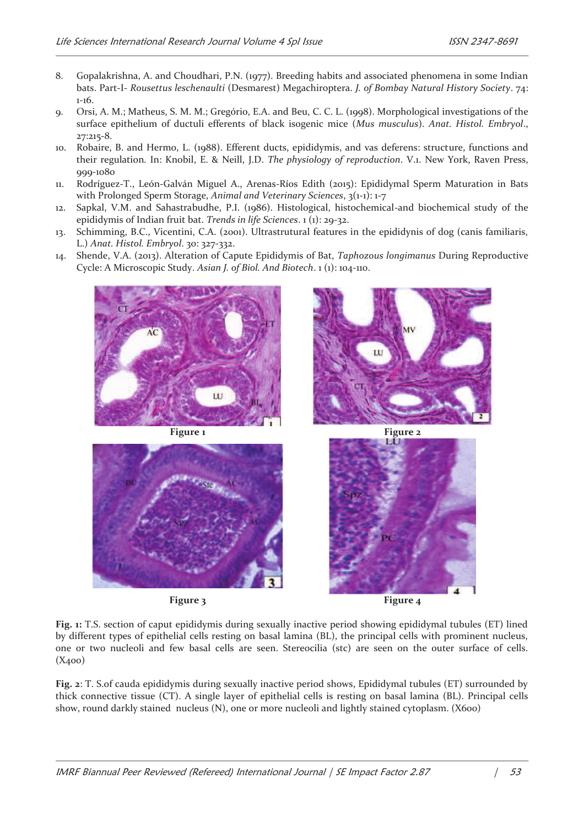- 8. Gopalakrishna, A. and Choudhari, P.N. (1977). Breeding habits and associated phenomena in some Indian bats. Part-I- *Rousettus leschenaulti* (Desmarest) Megachiroptera. *J. of Bombay Natural History Society*. 74: 1-16.
- 9. Orsi, A. M.; Matheus, S. M. M.; Gregório, E.A. and Beu, C. C. L. (1998). Morphological investigations of the surface epithelium of ductuli efferents of black isogenic mice (*Mus musculus*). *Anat. Histol. Embryol*., 27:215-8.
- 10. Robaire, B. and Hermo, L. (1988). Efferent ducts, epididymis, and vas deferens: structure, functions and their regulation*.* In: Knobil, E. & Neill, J.D. *The physiology of reproduction*. V.1. New York, Raven Press, 999-1080
- 11. Rodríguez-T., León-Galván Miguel A., Arenas-Ríos Edith (2015): Epididymal Sperm Maturation in Bats with Prolonged Sperm Storage, *Animal and Veterinary Sciences*, 3(1-1): 1-7
- 12. Sapkal, V.M. and Sahastrabudhe, P.I. (1986). Histological, histochemical-and biochemical study of the epididymis of Indian fruit bat. *Trends in life Sciences*. 1 (1): 29-32.
- 13. Schimming, B.C., Vicentini, C.A. (2001). Ultrastrutural features in the epididynis of dog (canis familiaris, L.) *Anat. Histol. Embryol*. 30: 327-332.
- 14. Shende, V.A. (2013). Alteration of Capute Epididymis of Bat, *Taphozous longimanus* During Reproductive Cycle: A Microscopic Study. *Asian J. of Biol. And Biotech*. 1 (1): 104-110.











**Fig. 1:** T.S. section of caput epididymis during sexually inactive period showing epididymal tubules (ET) lined by different types of epithelial cells resting on basal lamina (BL), the principal cells with prominent nucleus, one or two nucleoli and few basal cells are seen. Stereocilia (stc) are seen on the outer surface of cells. (X400)

**Fig. 2**: T. S.of cauda epididymis during sexually inactive period shows, Epididymal tubules (ET) surrounded by thick connective tissue (CT). A single layer of epithelial cells is resting on basal lamina (BL). Principal cells show, round darkly stained nucleus (N), one or more nucleoli and lightly stained cytoplasm. (X600)